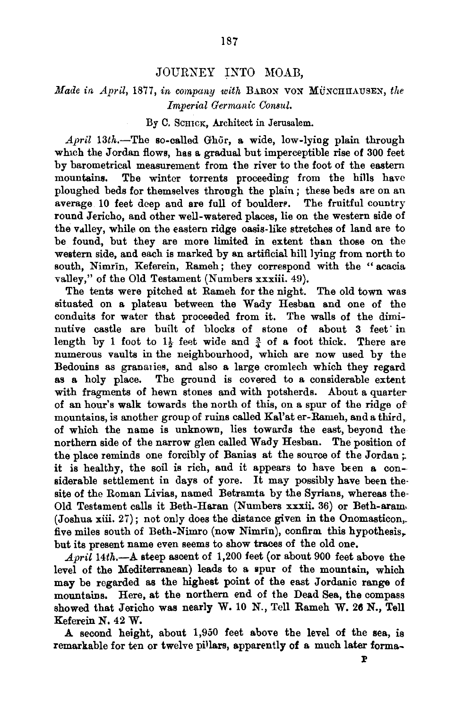## JOURNEY INTO MOAB,

## *Made in April,* 1877, *in cmnpany with* BARON VON MuNCIIIIAUSEN, *the Imperial Germanic Consul.*

## By C. SCHICK, Architect in Jerusalem.

April 13th.-The so-called Ghor, a wide, low-lying plain through which the Jordan flows, has a gradual but imperceptible rise of 300 feet by barometrical measurement from the river to the foot of the eastern mountains. The winter torrents proceeding from the hills have ploughed beds for themselves through the plain; these beds are on an average 10 feet deep and are full of boulders. The fruitful country round Jericho, and other well-watered places, lie on the western side of the valley, while on the eastern ridge oasis-like stretches of land are to be found, but they are more limited in extent than those on the western side, and each is marked by an artificial hill lying from north to south, Nimrin, Keferein, Rameh; they correspond with the " acacia valley," of the Old Testament (Numbers xxxiii. 49).

The tents were pitched at Rameh for the night. The old town was situated on a plateau between the Wady Hesban and one of the conduits for water that proceeded from it. The walls of the diminutive castle are built of blocks of stone of about 3 feet· in length by 1 foot to  $1\frac{1}{2}$  feet wide and  $\frac{3}{4}$  of a foot thick. There are numerous vaults in the neighbourhood, which are now used by the Bedouins as granaties, and also a large cromlech which they regard as a holy place. The ground is covered to a considerable extent with fragments of hewn stones and with potsherds. About a quarter of an hour's walk towards the north of this, on a spur of the ridge of mountains, is another group of ruins called Kal'at er-Rameh, and a third,. of which the name is unknown, lies towards the east, beyond the northern side of the narrow glen called Wady Hesban. The position of the place reminds one forcibly of Banias at the source of the Jordan ;. it is healthy, the soil is rich, and it appears to have been a considerable settlement in days of yore. It may possibly have been the· site of the Roman Livias, named Betramta by the Syrians, whereas the-Old Testament calls it Beth-Haran (Numbers xxxii. 36) or Beth-aram. (Joshua xiii. 27); not only does the distance given in the Onomasticon,. five miles south of Beth-Nimro (now Nimrin), confirm this hypothesis. but its present name even seems to show traces of the old one.

April 14th.-A steep ascent of 1,200 feet (or about 900 feet above the level of the Mediterranean) leads to a spur of the mountain, which may be regarded as the highest point of the east Jordanic range of mountains. Here, at the northern end of the Dead Sea, the compass showed that Jericho was nearly W. 10 N., Tell Rameh W. 26 N., Tell Keferein N. 42 W.

A second height, about 1,950 feet above the level of the sea, is remarkable for ten or twelve pillars, apparently of a much later forma-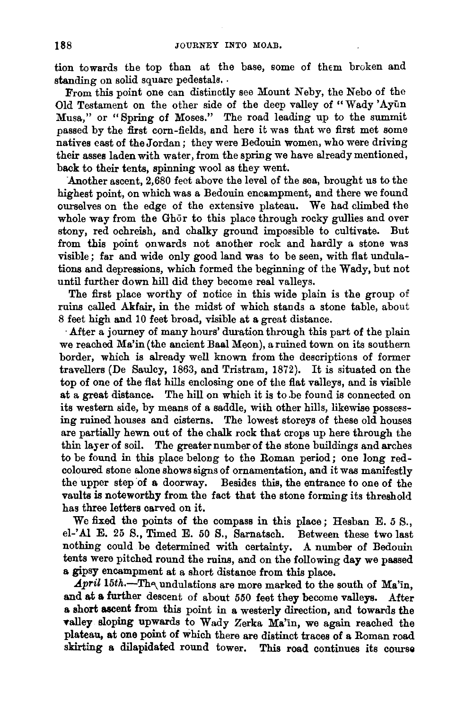tion towards the top than at the base, some of them broken and standing on solid square pedestals. .

From this point one can distinctly see Mount Neby, the Nebo of the Old Testament on the other side of the deep valley of "Wady 'Ayun Musa," or "Spring of Moses." The road leading up to the summit passed by the first corn-fields, and here it was that we first met some natives east of the Jordan; they were Bedouin women, who were driving their asses laden with water, from the spring we have already mentioned, back to their tents, spinning wool as they went.

Another ascent, 2,680 feet above the level of the sea, brought us to the highest point, on which was a Bedouin encampment, and there we found ourselves on the edge of the extensive plateau. We had climbed the whole way from the Ghor to this place through rocky gullies and over stony, red ochreish, and chalky ground impossible to cultivate. But from this point onwards not another rock and hardly a stone was visible; far and wide only good land was to be seen, with flat undulations and depressions, which formed the beginning of the Wady, but not until further down hill did they become real valleys.

The first place worthy of notice in this wide plain is the group of ruins called Akfair, in the midst of which stands a stone table, about 8 feet high and 10 feet broad, visible at a great distance.

·After a journey of many hours' duration through this part of the plain we reached Ma'in(the ancient BaalMeon), a ruined town on its southern border, which is already well known from the descriptions of former travellers (De Saulcy, 1863, and Tristram, 1872). It is situated on the top of one of the flat hills enclosing one of the flat valleys, and is visible at a great distance. The hill on which it is to .be found is connected on its western side, by means of a saddle, with other hills, likewise possessing ruined houses and cisterns. The lowest storeys of these old houses are partially hewn out of the chalk rock that crops up here through the thin layer of soil. The greater number of the stone buildings and arches to be found in this place belong to the Roman period; one long redcoloured stone alone shows signs of ornamentation, and it was manifestly the upper step of a doorway. Besides this, the entrance to one of the vaults is noteworthy from the fact that the stone forming its threshold has three letters carved on it.

We fixed the points of the compass in this place; Hesban E. *5* S., el-' AI E. 25 S., Timed E. *50* S., Sarnatsch. Between these two last nothing could be determined with certainty. A number of Bedouin tents were pitched round the ruins, and on the following day we passed a gipsy encampment at a short distance from this place.

 $April$  15th.-The undulations are more marked to the south of Ma'in, and at a further descent of about 550 feet they become valleys. After a short ascent from this point in a westerly direction, and towards the •alley sloping upwards to Wady Zerka Ma'in, we again reached the plateau, at one point of which there are distinct traces of a Roman road skirting a dilapidated round tower. This road continues its course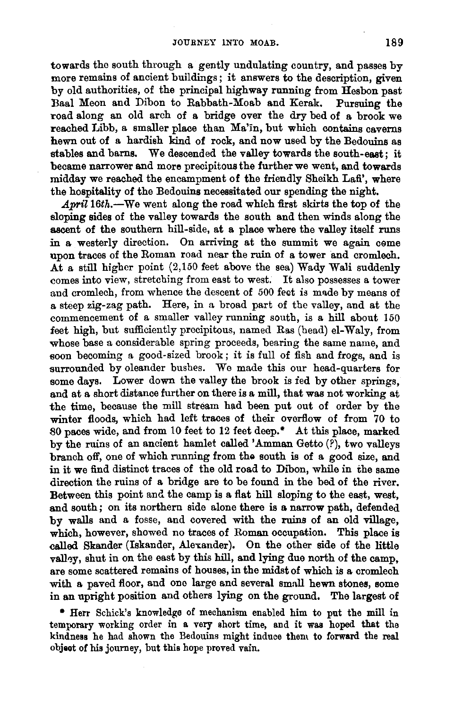towards the south through a gently undulating country, and passes by more remains of ancient buildings; it answers to the description, given by old authorities, of the principal highway running from Hesbon past Baal Meon and Dibon to Rabbath-Moab and Kerak. Pursuing the road along an old arch of a bridge over the dry bed of a brook we reached Libb, a smaller place than Ma'in, but which contains caverns hewn out of a hardish kind of rock, and now used by the Bedouins as stables and barns. We descended the valley towards the south-east; it became narrower and more precipitous the further we went, and towards midday we reached the encampment of the friendly Sheikh Lafi', where the hospitality of the Bedouins necessitated our spending the night.

April 16th.--We went along the road which first skirts the top of the sloping sides of the valley towards the south and then winds along the ascent of the southern hill-side, at a place where the valley itself runs in a westerly direction. On arriving at the summit we again ceme upon traces of the Roman road near the ruin of a tower and cromlech. At a still higher point  $(2,150$  feet above the sea) Wady Wali suddenly comes into view, stretching from east to west. It also possesses a tower and cromlech, from whence the descent of 500 feet is made by means of a steep zig-zag path. Here, in a broad part of the valley, and at the commencement of a smaller valley running south, is a hill about 150 feet high, but sufficiently precipitous, named Ras (head) el-Waly, from whose base a considerable spring proceeds, bearing the same name, and soon becoming a good-sized brook; it is full of fish and frogs, and is surrounded by oleander bushes. We made this our head-quarters for some days. Lower down the valley the brook is fed by other springs. and at a short distance further on there is a mill, that was not working at the time, because the mill stream had been put out of order by the winter floods, which had left traces of their overflow of from 70 to 80 paces wide, and from 10 feet to 12 feet deep." At this place, marked by the ruins of an ancient hamlet called 'Amman Getto (?), two valleys branch off, one of which running from the south is of a good size, and in it we find distinct traces of the old road to Dibon, while in the same direction the ruins of a bridge are to be found in the bed of the river. Between this point and the camp is a flat hill sloping to the east, west, and south; on its northern side alone there is a narrow path, defended by walls and a fosse, and covered with the ruins of an old village, which, however, showed no traces of Roman occupation. This place is called Skander (Iskander, Alexander). On the other side of the little valley, shut in on the east by this hill, and lying due north of the camp. are some scattered remains of houses, in the midst of which is a cromlech with a paved floor, and one large and several small hewn stones, some in an upright position and others lying on the ground. The largest of

• Herr Schick's knowledge of mechanism enabled him to put the mill in temporary working order in a very short time, and it was hoped that the kindness he had shown the Bedouins might induce them to forward the real objeot of his journey, but this hope proved vain.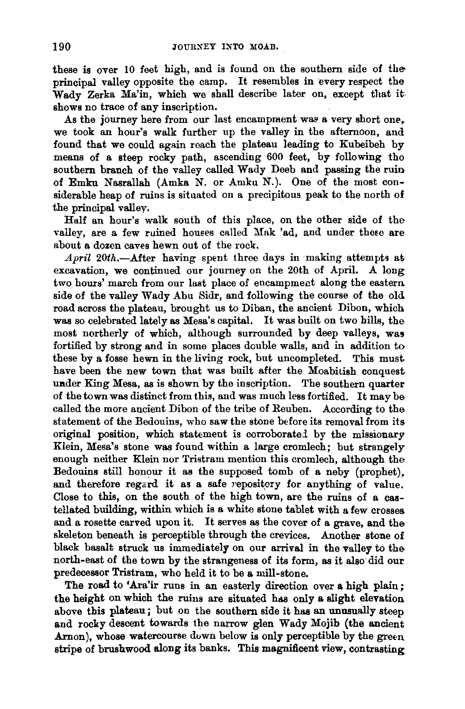these is over 10 feet high, and is found on the southern side of the principal valley opposite the camp. It resembles in every respect the Wady Zerka Ma'in, which we shall describe later on, except that it shows no trace of any inscription.

As the journey here from our last encampment was a very short one, we took an hour's walk further up the valley in the afternoon, and found that we could again reach the plateau leading to Kubeibeh by means of a steep rocky path, ascending 600 feet, by following tho southern branch of the valley called Wady Deeb and passing the ruin of Emku Nasrallah (Amka N. or Amku N.). One of the most considerable heap of ruins is situated on a precipitous peak to the north of the principal valley.

Half an hour's walk south of this place, on the other side of tho valley, are a few ruined houses called Mak 'ad, and under these are about a dozen caves hewn out of the rock.

April 20th.--After having spent three days in making attempts at excavation, we continued our journey on the 20th of April. A long two hours' march from our last place of encampment along the eastern side of the valley Wady Abu Sidr, and following the course of the old road across the plateau, brought us to Diban, the ancient Dibon, which was so celebrated lately as Mesa's capital. It was built on two hills, the most northerly of which, although surrounded by deep valleys, was fortified by strong and in some places double walls, and in addition to these by a fosse hewn in the living rock, but uncompleted. This must have been the new town that was built after the Moabitish conquest under King Mesa, as is shown by the inscription. The southern quarter of the town was distinct from this, and was much less fortified. It may be called the more ancient Dibon of the tribe of Reuben. According to the statement of the Bedouins, who saw the stone before its removal from its original position, which statement is corroboratei by the missionary Klein, Mesa's stone was found within a large cromlech; but strangely enough neither Klein nor Tristram mention this cromlech, although the Bedonins still honour it as the supposed tomb of a neby (prophet), and therefore regard it as a safe repository for anything of value. Close to this, on the south of the high town, are the ruins of a castellated building, within which is a white stone tablet with a few crosses and a rosette carved upon it. It serves as the cover of a grave, and the skeleton beneath is perceptible through the crevices. Another stone of black basalt struck us immediately on our arrival in the valley to the north-east of the town by the strangeness of its form, as it also· did our predecessor Tristram, who held it to be a mill-stone.

The road to 'Ara'ir runs in an easterly direction over a high plain; the height on which the ruins are situated has only a slight elevation above this plateau; but on the southern side it has an unusually steep and rocky descent towards the narrow glen Wady Mojib (the ancient  $Aron$ ), whose watercourse down below is only perceptible by the green stripe of brushwood along its banks. This magnificent view, contrasting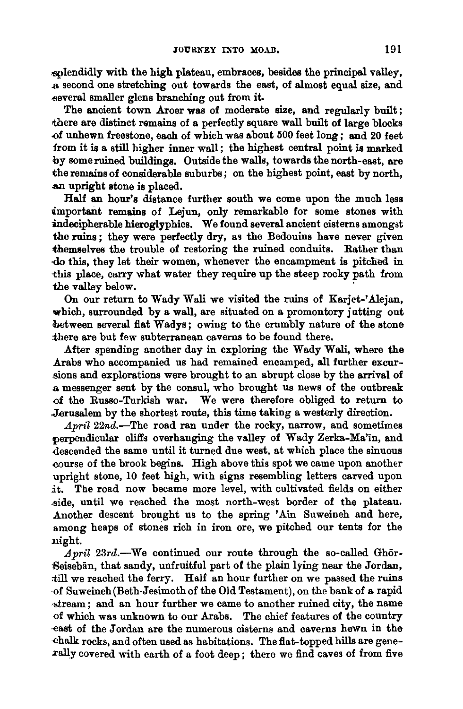splendidly with the high plateau, embraces, besides the principal valley,  $\overline{a}$  second one stretching out towards the east, of almost equal size, and ~evera.l smaller glens branching out from it.

The ancient town Aroer was of moderate size, and regularly built; there are distinct remains of a perfectly square wall built of large blocks of unhewn freestone, each of which was about 500 feet long; and 20 feet from it is a still higher inner wall; the highest central point is marked by some ruined buildings. Outside the walls, towards the north-east, are the remains of considerable suburbs; on the highest point, east by north. .an upright atone is placed.

Half an hour's distance further south we come upon the much less important remains of Lejun, only remarkable for some stones with  $indecibherable hieroclyphics.$  We found several ancient cisterns amongst the ruins; they were perfectly dry, as the Bedouins have never given themselves the trouble of restoring the ruined conduits. Rather than ·do this, they let their women, whenever the encampment is pitched in this place, carry what water they require up the steep rocky path from the valley below.

On our return to Wady Wali we visited the ruins of Karjet-'Alejan, which, surrounded by a wall, are situated on a promontory jutting out between several flat Wadys; owing to the crumbly nature of the stone there are but few subterranean caverns to be found there.

After spending another day in exploring the Wady Wali, where the Arabs who accompanied us had remained encamped, all further excursions and explorations were brought to an abrupt close by the arrival of a messenger sent by the consul, who brought us news of the outbreak of the Russo-Turkish war. We were therefore obliged to return to Jerusalem by the shortest route, this time taking a westerly direction.

April  $22n\ddot{d}$ . The road ran under the rocky, narrow, and sometimes perpendicular cliffs overhanging the valley of Wady Zerka-Ma'in, and descended the same until it turned due west, at which place the sinuous course of the brook begins. High above this spot we came upon another upright stone, 10 feet high, with signs resembling letters carved upon it. The road now became more level, with cultivated fields on either side, until we reached the most north-west border of the plateau. Another descent brought us to the spring 'Ain Suweineh and here, among heaps of stones rich in iron ore, we pitched our tents for the .night.

 $April 23rd. - We continued our route through the so-called Ghör-$ -Beisebiin, that sandy, unfruitful part of the plain lying near the Jordan, till we reached the ferry. Half an hour further on we passed the ruins of Suweineh (Beth-Jesimoth of the Old Testament), on the bank of a rapid ·:.±ream; and an hour further we came to another ruined city, the name of which was unknown to our Arabs. The chief features of the country ·€ast of the Jordan are the numerous cisterns and caverns hewn in the chalk rocks, and often used as habitations. The flat-topped hills are genexally covered with earth of a foot deep; there we find caves of from five